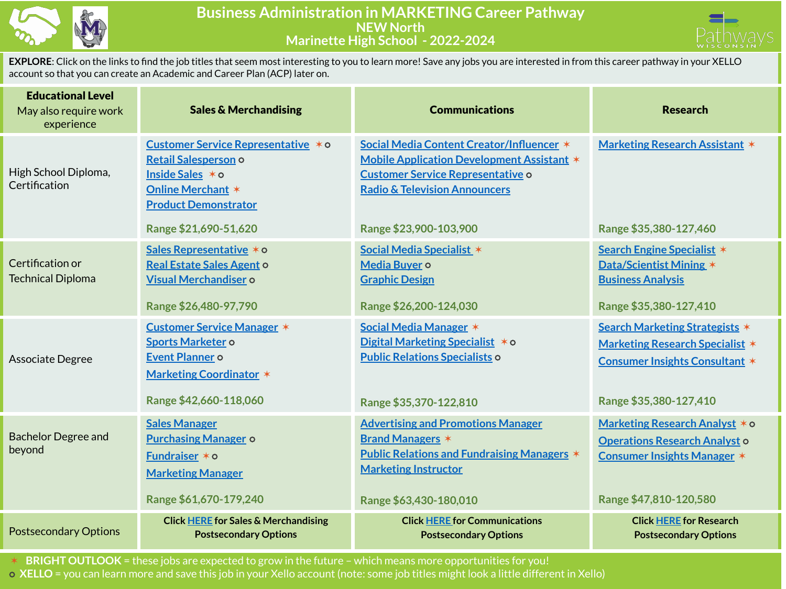

## **Business Administration in MARKETING Career Pathway NEW North Marinette High School - 2022-2024**



**EXPLORE**: Click on the links to find the job titles that seem most interesting to you to learn more! Save any jobs you are interested in from this career pathway in your XELLO account so that you can create an Academic and Career Plan (ACP) later on.

| <b>Educational Level</b><br>May also require work<br>experience | <b>Sales &amp; Merchandising</b>                                                                                                                                    | <b>Communications</b>                                                                                                                                                                                            | <b>Research</b>                                                                                                                             |
|-----------------------------------------------------------------|---------------------------------------------------------------------------------------------------------------------------------------------------------------------|------------------------------------------------------------------------------------------------------------------------------------------------------------------------------------------------------------------|---------------------------------------------------------------------------------------------------------------------------------------------|
| High School Diploma,<br>Certification                           | Customer Service Representative * 0<br>Retail Salesperson o<br>Inside Sales * o<br><b>Online Merchant *</b><br><b>Product Demonstrator</b><br>Range \$21,690-51,620 | Social Media Content Creator/Influencer *<br><b>Mobile Application Development Assistant *</b><br><b>Customer Service Representative o</b><br><b>Radio &amp; Television Announcers</b><br>Range \$23,900-103,900 | <b>Marketing Research Assistant *</b><br>Range \$35,380-127,460                                                                             |
| Certification or<br><b>Technical Diploma</b>                    | Sales Representative * o<br><b>Real Estate Sales Agent o</b><br>Visual Merchandiser o<br>Range \$26,480-97,790                                                      | Social Media Specialist *<br>Media Buyer o<br><b>Graphic Design</b><br>Range \$26,200-124,030                                                                                                                    | Search Engine Specialist *<br><b>Data/Scientist Mining *</b><br><b>Business Analysis</b><br>Range \$35,380-127,410                          |
| Associate Degree                                                | <b>Customer Service Manager *</b><br>Sports Marketer o<br>Event Planner o<br><b>Marketing Coordinator *</b><br>Range \$42,660-118,060                               | Social Media Manager *<br>Digital Marketing Specialist * 0<br><b>Public Relations Specialists o</b><br>Range \$35,370-122,810                                                                                    | Search Marketing Strategists *<br><b>Marketing Research Specialist *</b><br><b>Consumer Insights Consultant *</b><br>Range \$35,380-127,410 |
| <b>Bachelor Degree and</b><br>beyond                            | <b>Sales Manager</b><br><b>Purchasing Manager o</b><br>Fundraiser $*$ $\circ$<br><b>Marketing Manager</b><br>Range \$61,670-179,240                                 | <b>Advertising and Promotions Manager</b><br><b>Brand Managers *</b><br><b>Public Relations and Fundraising Managers *</b><br><b>Marketing Instructor</b><br>Range \$63,430-180,010                              | Marketing Research Analyst * o<br><b>Operations Research Analyst o</b><br><b>Consumer Insights Manager *</b><br>Range \$47,810-120,580      |
| <b>Postsecondary Options</b>                                    | <b>Click HERE for Sales &amp; Merchandising</b><br><b>Postsecondary Options</b>                                                                                     | <b>Click HERE for Communications</b><br><b>Postsecondary Options</b>                                                                                                                                             | <b>Click HERE for Research</b><br><b>Postsecondary Options</b>                                                                              |

✶ **BRIGHT OUTLOOK** = these jobs are expected to grow in the future – which means more opportunities for you! ⭘ **XELLO** = you can learn more and save this job in your Xello account (note: some job titles might look a little different in Xello)